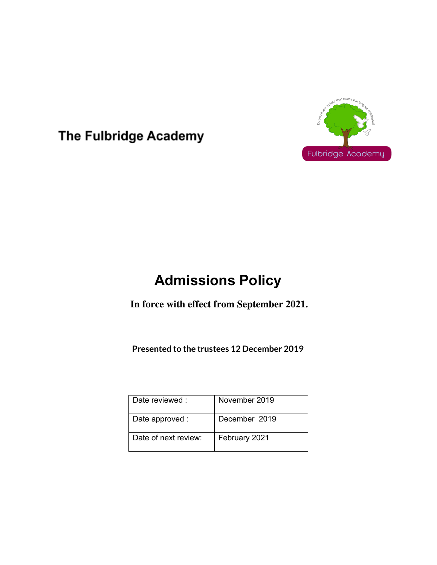

The Fulbridge Academy

# **Admissions Policy**

**In force with effect from September 2021.**

**Presented to the trustees 12 December 2019**

| Date reviewed:       | November 2019 |
|----------------------|---------------|
| Date approved :      | December 2019 |
| Date of next review: | February 2021 |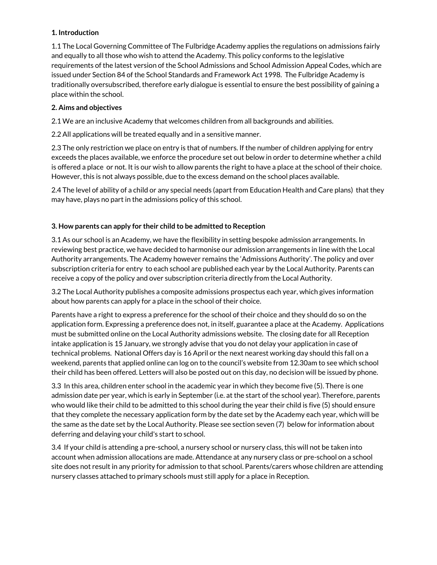# **1. Introduction**

1.1 The Local Governing Committee of The Fulbridge Academy applies the regulations on admissions fairly and equally to all those who wish to attend the Academy. This policy conforms to the legislative requirements of the latest version of the School Admissions and School Admission Appeal Codes, which are issued under Section 84 of the School Standards and Framework Act 1998. The Fulbridge Academy is traditionally oversubscribed, therefore early dialogue is essential to ensure the best possibility of gaining a place within the school.

# **2. Aims and objectives**

2.1 We are an inclusive Academy that welcomes children from all backgrounds and abilities.

2.2 All applications will be treated equally and in a sensitive manner.

2.3 The only restriction we place on entry is that of numbers. If the number of children applying for entry exceeds the places available, we enforce the procedure set out below in order to determine whether a child is offered a place or not. It is our wish to allow parents the right to have a place at the school of their choice. However, this is not always possible, due to the excess demand on the school places available.

2.4 The level of ability of a child or any special needs (apart from Education Health and Care plans) that they may have, plays no part in the admissions policy of this school.

# **3. How parents can apply for their child to be admitted to Reception**

3.1 As our school is an Academy, we have the flexibility in setting bespoke admission arrangements. In reviewing best practice, we have decided to harmonise our admission arrangements in line with the Local Authority arrangements. The Academy however remains the 'Admissions Authority'. The policy and over subscription criteria for entry to each school are published each year by the Local Authority. Parents can receive a copy of the policy and over subscription criteria directly from the Local Authority.

3.2 The Local Authority publishes a composite admissions prospectus each year, which gives information about how parents can apply for a place in the school of their choice.

Parents have a right to express a preference for the school of their choice and they should do so on the application form. Expressing a preference does not, in itself, guarantee a place at the Academy. Applications must be submitted online on the Local Authority admissions website. The closing date for all Reception intake application is 15 January, we strongly advise that you do not delay your application in case of technical problems. National Offers day is 16 April or the next nearest working day should this fall on a weekend, parents that applied online can log on to the council's website from 12.30am to see which school their child has been offered. Letters will also be posted out on this day, no decision will be issued by phone.

3.3 In this area, children enter school in the academic year in which they become five (5). There is one admission date per year, which is early in September (i.e. at the start of the school year). Therefore, parents who would like their child to be admitted to this school during the year their child is five (5) should ensure that they complete the necessary application form by the date set by the Academy each year, which will be the same as the date set by the Local Authority. Please see section seven (7) below for information about deferring and delaying your child's start to school.

3.4 If your child is attending a pre-school, a nursery school or nursery class, this will not be taken into account when admission allocations are made. Attendance at any nursery class or pre-school on a school site does not result in any priority for admission to that school. Parents/carers whose children are attending nursery classes attached to primary schools must still apply for a place in Reception.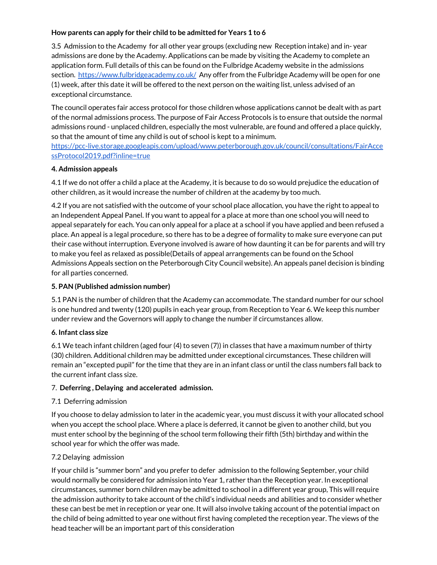## **How parents can apply for their child to be admitted for Years 1 to 6**

3.5 Admission to the Academy for all other year groups (excluding new Reception intake) and in- year admissions are done by the Academy. Applications can be made by visiting the Academy to complete an application form. Full details of this can be found on the Fulbridge Academy website in the admissions section. <https://www.fulbridgeacademy.co.uk/> Any offer from the Fulbridge Academy will be open for one (1) week, after this date it will be offered to the next person on the waiting list, unless advised of an exceptional circumstance.

The council operates fair access protocol for those children whose applications cannot be dealt with as part of the normal admissions process. The purpose of Fair Access Protocols is to ensure that outside the normal admissions round - unplaced children, especially the most vulnerable, are found and offered a place quickly, so that the amount of time any child is out of school is kept to a minimum.

[https://pcc-live.storage.googleapis.com/upload/www.peterborough.gov.uk/council/consultations/FairAcce](https://pcc-live.storage.googleapis.com/upload/www.peterborough.gov.uk/council/consultations/FairAccessProtocol2019.pdf?inline=true) [ssProtocol2019.pdf?inline=true](https://pcc-live.storage.googleapis.com/upload/www.peterborough.gov.uk/council/consultations/FairAccessProtocol2019.pdf?inline=true)

# **4. Admission appeals**

4.1 If we do not offer a child a place at the Academy, it is because to do so would prejudice the education of other children, as it would increase the number of children at the academy by too much.

4.2 If you are not satisfied with the outcome of your school place allocation, you have the right to appeal to an Independent Appeal Panel. If you want to appeal for a place at more than one school you will need to appeal separately for each. You can only appeal for a place at a school if you have applied and been refused a place. An appeal is a legal procedure, so there has to be a degree of formality to make sure everyone can put their case without interruption. Everyone involved is aware of how daunting it can be for parents and will try to make you feel as relaxed as possible(Details of appeal arrangements can be found on the School Admissions Appeals section on the Peterborough City Council website). An appeals panel decision is binding for all parties concerned.

## **5. PAN (Published admission number)**

5.1 PAN is the number of children that the Academy can accommodate. The standard number for our school is one hundred and twenty (120) pupils in each year group, from Reception to Year 6. We keep this number under review and the Governors will apply to change the number if circumstances allow.

#### **6. Infant class size**

6.1 We teach infant children (aged four (4) to seven (7)) in classes that have a maximum number of thirty (30) children. Additional children may be admitted under exceptional circumstances. These children will remain an "excepted pupil" for the time that they are in an infant class or until the class numbers fall back to the current infant class size.

#### 7. **Deferring , Delaying and accelerated admission.**

# 7.1 Deferring admission

If you choose to delay admission to later in the academic year, you must discuss it with your allocated school when you accept the school place. Where a place is deferred, it cannot be given to another child, but you must enter school by the beginning of the school term following their fifth (5th) birthday and within the school year for which the offer was made.

# 7.2 Delaying admission

If your child is "summer born" and you prefer to defer admission to the following September, your child would normally be considered for admission into Year 1, rather than the Reception year. In exceptional circumstances, summer born children may be admitted to school in a different year group, This will require the admission authority to take account of the child's individual needs and abilities and to consider whether these can best be met in reception or year one. It will also involve taking account of the potential impact on the child of being admitted to year one without first having completed the reception year. The views of the head teacher will be an important part of this consideration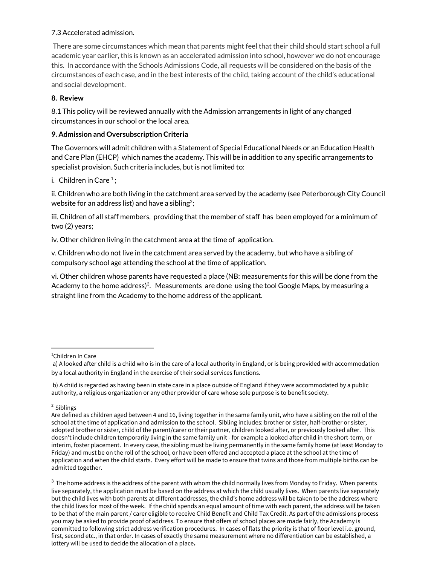## 7.3 Accelerated admission.

There are some circumstances which mean that parents might feel that their child should start school a full academic year earlier, this is known as an accelerated admission into school, however we do not encourage this. In accordance with the Schools Admissions Code, all requests will be considered on the basis of the circumstances of each case, and in the best interests of the child, taking account of the child's educational and social development.

# **8. Review**

8.1 This policy will be reviewed annually with the Admission arrangements in light of any changed circumstances in our school or the local area.

# **9. Admission and Oversubscription Criteria**

The Governors will admit children with a Statement of Special Educational Needs or an Education Health and Care Plan (EHCP) which names the academy. This will be in addition to any specific arrangements to specialist provision. Such criteria includes, but is not limited to:

i. Children in Care  $1$ ;

ii. Children who are both living in the catchment area served by the academy (see Peterborough City Council website for an address list) and have a sibling<sup>2</sup>;

iii. Children of all staff members, providing that the member of staff has been employed for a minimum of two (2) years;

iv. Other children living in the catchment area at the time of application.

v. Children who do not live in the catchment area served by the academy, but who have a sibling of compulsory school age attending the school at the time of application.

vi. Other children whose parents have requested a place (NB: measurements for this will be done from the Academy to the home address) $^3$ . Measurements are done using the tool Google Maps, by measuring a straight line from the Academy to the home address of the applicant.

<sup>2</sup> Siblings

<sup>&</sup>lt;sup>1</sup>Children In Care

a) A looked after child is a child who is in the care of a local authority in England, or is being provided with accommodation by a local authority in England in the exercise of their social services functions.

b) A child is regarded as having been in state care in a place outside of England if they were accommodated by a public authority, a religious organization or any other provider of care whose sole purpose is to benefit society.

Are defined as children aged between 4 and 16, living together in the same family unit, who have a sibling on the roll of the school at the time of application and admission to the school. Sibling includes: brother or sister, half-brother or sister, adopted brother or sister, child of the parent/carer or their partner, children looked after, or previously looked after. This doesn't include children temporarily living in the same family unit - for example a looked after child in the short-term, or interim, foster placement. In every case, the sibling must be living permanently in the same family home (at least Monday to Friday) and must be on the roll of the school, or have been offered and accepted a place at the school at the time of application and when the child starts. Every effort will be made to ensure that twins and those from multiple births can be admitted together.

 $3$  The home address is the address of the parent with whom the child normally lives from Monday to Friday. When parents live separately, the application must be based on the address at which the child usually lives. When parents live separately but the child lives with both parents at different addresses, the child's home address will be taken to be the address where the child lives for most of the week. If the child spends an equal amount of time with each parent, the address will be taken to be that of the main parent / carer eligible to receive Child Benefit and Child Tax Credit. As part of the admissions process you may be asked to provide proof of address. To ensure that offers of school places are made fairly, the Academy is committed to following strict address verification procedures. In cases of flats the priority is that of floor level i.e. ground, first, second etc., in that order. In cases of exactly the same measurement where no differentiation can be established, a lottery will be used to decide the allocation of a place**.**